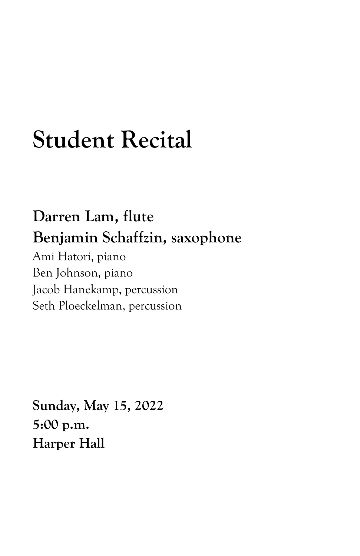## **Student Recital**

## **Darren Lam, flute Benjamin Schaffzin, saxophone**

Ami Hatori, piano Ben Johnson, piano Jacob Hanekamp, percussion Seth Ploeckelman, percussion

**Sunday, May 15, 2022 5:00 p.m. Harper Hall**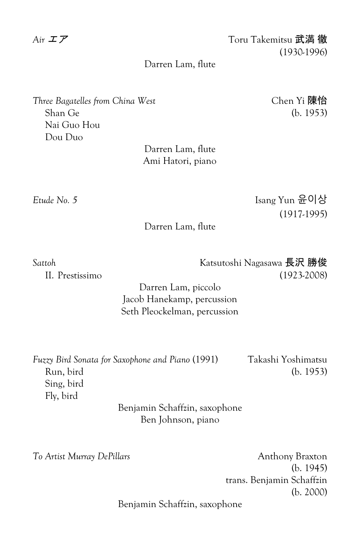*Air* エア Toru Takemitsu 武満 徹 (1930-1996)

## Darren Lam, flute

*Three Bagatelles from China West* Chen Yi 陳怡 Shan Ge (b. 1953) Nai Guo Hou Dou Duo

Darren Lam, flute Ami Hatori, piano

*Etude No. 5* Isang Yun 윤이상 (1917-1995)

Darren Lam, flute

*Sattoh* Katsutoshi Nagasawa 長沢 勝俊 II. Prestissimo (1923-2008)

> Darren Lam, piccolo Jacob Hanekamp, percussion Seth Pleockelman, percussion

| Fuzzy Bird Sonata for Saxophone and Piano (1991) | Takashi Yoshimatsu |
|--------------------------------------------------|--------------------|
| Run, bird                                        | (b. 1953)          |
| Sing, bird                                       |                    |
| Fly, bird                                        |                    |
| Benjamin Schaffzin, saxophone                    |                    |

Ben Johnson, piano

*To Artist Murray DePillars* Anthony Braxton (b. 1945) trans. Benjamin Schaffzin (b. 2000)

Benjamin Schaffzin, saxophone